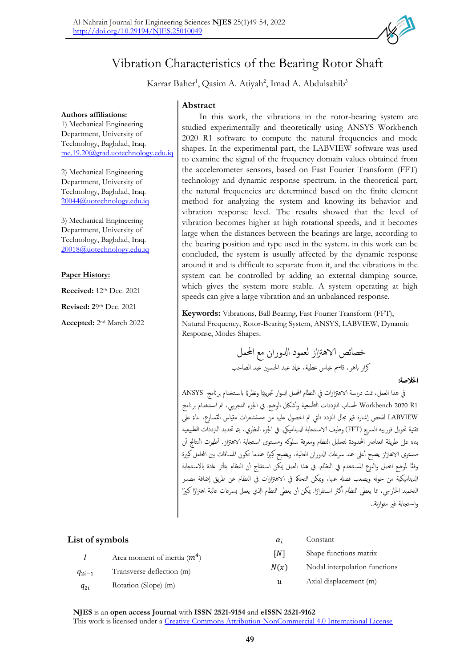

# Vibration Characteristics of the Bearing Rotor Shaft

Karrar Baher<sup>1</sup>, Qasim A. Atiyah<sup>2</sup>, Imad A. Abdulsahib<sup>3</sup>

### **Authors affiliations:**

1) Mechanical Engineering Department, University of Technology, Baghdad, Iraq. me.19.20@grad.uotechnology.edu.iq

2) Mechanical Engineering Department, University of Technology, Baghdad, Iraq. 20044@uotechnology.edu.iq

3) Mechanical Engineering Department, University of Technology, Baghdad, Iraq. 20018@uotechnology.edu.iq

### **Paper History:**

**Received:** 12th Dec. 2021

**Revised: 2**9 th Dec. 2021

**Accepted:** 2 nd March 2022

## **Abstract**

In this work, the vibrations in the rotor-bearing system are studied experimentally and theoretically using ANSYS Workbench 2020 R1 software to compute the natural frequencies and mode shapes. In the experimental part, the LABVIEW software was used to examine the signal of the frequency domain values obtained from the accelerometer sensors, based on Fast Fourier Transform (FFT) technology and dynamic response spectrum. in the theoretical part, the natural frequencies are determined based on the finite element method for analyzing the system and knowing its behavior and vibration response level. The results showed that the level of vibration becomes higher at high rotational speeds, and it becomes large when the distances between the bearings are large, according to the bearing position and type used in the system. in this work can be concluded, the system is usually affected by the dynamic response around it and is difficult to separate from it, and the vibrations in the system can be controlled by adding an external damping source, which gives the system more stable. A system operating at high speeds can give a large vibration and an unbalanced response.

**Keywords:** Vibrations, Ball Bearing, Fast Fourier Transform (FFT), Natural Frequency, Rotor-Bearing System, ANSYS, LABVIEW, Dynamic Response, Modes Shapes.

> خصائص الاهتزاز لعمود الدوران مع المحمل كرار باهر، قاسم عباس عطية، عماد عبد الحسين عبد الصاحب

### اخلالصة:

في هذا العمل، تمت دراسة الاهتزازات في النظام المحمل الدوار تجريبيًا ونظريًا باستخدام برنامج ANSYS ً 1R 2020 Workbench حلساب الرتددات الطبيعية و أشاكل الوضع. يف اجلزء التجرييب، مت اس تخدام برانمج LABVIEW لفحص إشارة قيم مجال التردد التي تم الحصول عليها من مستشعرات مقياس التسارع، بناءً على ً تقنية حتويل فورييه الرسيع )FFT )وطيف الاس تجابة ادلينامييك. يف اجلزء النظري، يمت حتديد الرتددات الطبيعية بناءً على طريقة العناصر المحدودة لتحليل النظام ومعرفة سلوكه ومستوى استجابة الاهتزاز. أظهرت النتائج أن ً مستوى الاهتزاز يصبح أعلى عند سرعات الدوران العالية، ويصبح كبيرًا عندما تكون المسافات بين المحامل كبيرة وفقًا لموضع المحمل والنوع المستخدم في النظام. في هذا العمل يمكن استنتاج أن النظام يتأثر عادة بالاستجابة ادليناميكية من حوهل ويصعب فصهل عهنا، وميكن التحمك يف الاهزتازات يف النظام عن طريق اضافة مصدر لتخميد الحارجي، مما يعطي النظام أكثر استقرارًا. يمكن أن يعطي النظام الذي يعمل بسرعات عالية اهتزازًا كبيرًا ً أ واس تجابة غري متوازنة..

| List of symbols |                               | $\alpha_i$ | Constant                      |
|-----------------|-------------------------------|------------|-------------------------------|
|                 | Area moment of inertia $(m4)$ | INT        | Shape functions matrix        |
| $q_{2i-1}$      | Transverse deflection (m)     | N(x)       | Nodal interpolation functions |
| $q_{2i}$        | Rotation (Slope) (m)          | u          | Axial displacement (m)        |

**NJES** is an **open access Journal** with **ISSN 2521-9154** and **eISSN 2521-9162** This work is licensed under a [Creative Commons Attribution-NonCommercial 4.0 International License](http://creativecommons.org/licenses/by-nc/4.0/)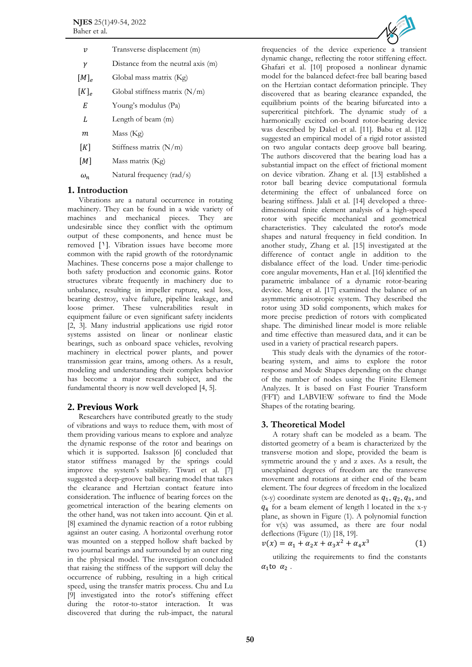| v            | Transverse displacement (m)        |  |
|--------------|------------------------------------|--|
| γ            | Distance from the neutral axis (m) |  |
| $[M]_e$      | Global mass matrix (Kg)            |  |
| $[K]_{\rho}$ | Global stiffness matrix $(N/m)$    |  |
| E            | Young's modulus (Pa)               |  |
| L            | Length of beam (m)                 |  |
| m            | Mass (Kg)                          |  |
| K            | Stiffness matrix $(N/m)$           |  |

 $[M]$  Mass matrix (Kg)

 $\omega_n$  Natural frequency (rad/s)

## **1. Introduction**

Vibrations are a natural occurrence in rotating machinery. They can be found in a wide variety of machines and mechanical pieces. They are undesirable since they conflict with the optimum output of these components, and hence must be removed [1]. Vibration issues have become more common with the rapid growth of the rotordynamic Machines. These concerns pose a major challenge to both safety production and economic gains. Rotor structures vibrate frequently in machinery due to unbalance, resulting in impeller rupture, seal loss, bearing destroy, valve failure, pipeline leakage, and loose primer. These vulnerabilities result in equipment failure or even significant safety incidents [\[2,](#page-4-1) [3\]](#page-5-0). Many industrial applications use rigid rotor systems assisted on linear or nonlinear elastic bearings, such as onboard space vehicles, revolving machinery in electrical power plants, and power transmission gear trains, among others. As a result, modeling and understanding their complex behavior has become a major research subject, and the fundamental theory is now well developed [\[4,](#page-5-1) [5\]](#page-5-2).

## **2. Previous Work**

Researchers have contributed greatly to the study of vibrations and ways to reduce them, with most of them providing various means to explore and analyze the dynamic response of the rotor and bearings on which it is supported. Isaksson [\[6\]](#page-5-3) concluded that stator stiffness managed by the springs could improve the system's stability. Tiwari et al. [\[7\]](#page-5-4) suggested a deep-groove ball bearing model that takes the clearance and Hertzian contact feature into consideration. The influence of bearing forces on the geometrical interaction of the bearing elements on the other hand, was not taken into account. Qin et al. [\[8\]](#page-5-5) examined the dynamic reaction of a rotor rubbing against an outer casing. A horizontal overhung rotor was mounted on a stepped hollow shaft backed by two journal bearings and surrounded by an outer ring in the physical model. The investigation concluded that raising the stiffness of the support will delay the occurrence of rubbing, resulting in a high critical speed, using the transfer matrix process. Chu and Lu [\[9\]](#page-5-6) investigated into the rotor's stiffening effect during the rotor-to-stator interaction. It was discovered that during the rub-impact, the natural



frequencies of the device experience a transient dynamic change, reflecting the rotor stiffening effect. Ghafari et al. [\[10\]](#page-5-7) proposed a nonlinear dynamic model for the balanced defect-free ball bearing based on the Hertzian contact deformation principle. They discovered that as bearing clearance expanded, the equilibrium points of the bearing bifurcated into a supercritical pitchfork. The dynamic study of a harmonically excited on-board rotor-bearing device was described by Dakel et al. [\[11\]](#page-5-8). Babu et al. [\[12\]](#page-5-9) suggested an empirical model of a rigid rotor assisted on two angular contacts deep groove ball bearing. The authors discovered that the bearing load has a substantial impact on the effect of frictional moment on device vibration. Zhang et al. [\[13\]](#page-5-10) established a rotor ball bearing device computational formula determining the effect of unbalanced force on bearing stiffness. Jalali et al. [\[14\]](#page-5-11) developed a threedimensional finite element analysis of a high-speed rotor with specific mechanical and geometrical characteristics. They calculated the rotor's mode shapes and natural frequency in field condition. In another study, Zhang et al. [\[15\]](#page-5-12) investigated at the difference of contact angle in addition to the disbalance effect of the load. Under time-periodic core angular movements, Han et al. [\[16\]](#page-5-13) identified the parametric imbalance of a dynamic rotor-bearing device. Meng et al. [\[17\]](#page-5-14) examined the balance of an asymmetric anisotropic system. They described the rotor using 3D solid components, which makes for more precise prediction of rotors with complicated shape. The diminished linear model is more reliable and time effective than measured data, and it can be used in a variety of practical research papers.

This study deals with the dynamics of the rotorbearing system, and aims to explore the rotor response and Mode Shapes depending on the change of the number of nodes using the Finite Element Analyzes. It is based on Fast Fourier Transform (FFT) and LABVIEW software to find the Mode Shapes of the rotating bearing.

## **3. Theoretical Model**

A rotary shaft can be modeled as a beam. The distorted geometry of a beam is characterized by the transverse motion and slope, provided the beam is symmetric around the y and z axes. As a result, the unexplained degrees of freedom are the transverse movement and rotations at either end of the beam element. The four degrees of freedom in the localized (x-y) coordinate system are denoted as  $q_1$ ,  $q_2$ ,  $q_3$ , and 4 for a beam element of length l located in the x-y plane, as shown in Figure (1). A polynomial function for v(x) was assumed, as there are four nodal deflections (Figure (1)) [18, 19].

$$
v(x) = \alpha_1 + \alpha_2 x + \alpha_3 x^2 + \alpha_4 x^3 \tag{1}
$$

utilizing the requirements to find the constants  $\alpha_1$ to  $\alpha_2$ .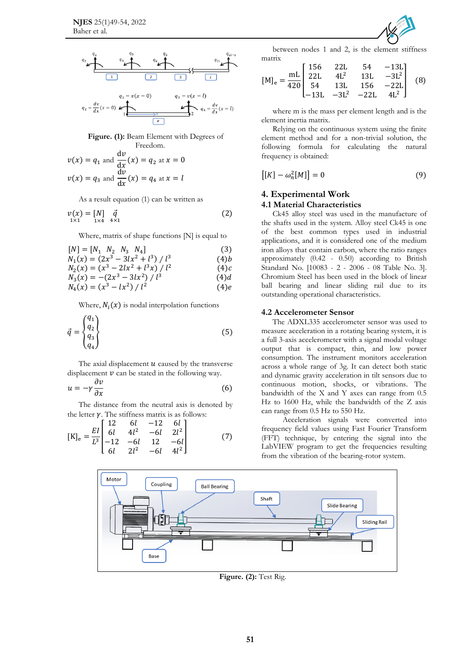

**Figure. (1):** Beam Element with Degrees of Freedom.

$$
v(x) = q_1 \text{ and } \frac{dv}{dx}(x) = q_2 \text{ at } x = 0
$$
  

$$
v(x) = q_3 \text{ and } \frac{dv}{dx}(x) = q_4 \text{ at } x = l
$$

As a result equation (1) can be written as

$$
\begin{array}{ll}\n v(x) = [N] & \vec{q} \\
\xrightarrow{1 \times 1} & \xrightarrow{1 \times 4} & \xrightarrow{4 \times 1}\n \end{array} \tag{2}
$$

Where, matrix of shape functions [N] is equal to

$$
[N] = [N_1 \ N_2 \ N_3 \ N_4]
$$
 (3)

$$
N_1(x) = (2x^3 - 3lx^2 + l^3) / l^3
$$
 (4)

$$
N_2(x) = (x^3 - 2lx^2 + l^3x) / l^2
$$
 (4)

$$
N_3(x) = -(2x^3 - 3lx^2) / l^3
$$
\n
$$
N_4(x) = (x^3 - lx^2) / l^2
$$
\n(4) e

Where,  $N_i(x)$  is nodal interpolation functions

$$
\vec{q} = \begin{cases} q_1 \\ q_2 \\ q_3 \\ q_4 \end{cases}
$$
 (5)

The axial displacement  $u$  caused by the transverse displacement  $\nu$  can be stated in the following way.  $\partial v$ 

$$
u = -\gamma \frac{1}{\partial x} \tag{6}
$$

The distance from the neutral axis is denoted by the letter  $\gamma$ . The stiffness matrix is as follows:

$$
[\mathrm{K}]_{\mathrm{e}} = \frac{EI}{L^3} \begin{bmatrix} 12 & 6l & -12 & 6l \\ 6l & 4l^2 & -6l & 2l^2 \\ -12 & -6l & 12 & -6l \\ 6l & 2l^2 & -6l & 4l^2 \end{bmatrix}
$$
(7)



between nodes 1 and 2, is the element stiffness matrix

$$
[\text{M}]_{\text{e}} = \frac{\text{mL}}{420} \begin{bmatrix} 156 & 22\text{L} & 54 & -13\text{L} \\ 22\text{L} & 4\text{L}^2 & 13\text{L} & -3\text{L}^2 \\ 54 & 13\text{L} & 156 & -22\text{L} \\ -13\text{L} & -3\text{L}^2 & -22\text{L} & 4\text{L}^2 \end{bmatrix} \tag{8}
$$

where m is the mass per element length and is the element inertia matrix.

Relying on the continuous system using the finite element method and for a non-trivial solution, the following formula for calculating the natural frequency is obtained:

$$
[[K] - \omega_n^2[M]] = 0 \tag{9}
$$

# **4. Experimental Work**

## **4.1 Material Characteristics**

Ck45 alloy steel was used in the manufacture of the shafts used in the system. Alloy steel Ck45 is one of the best common types used in industrial applications, and it is considered one of the medium iron alloys that contain carbon, where the ratio ranges approximately (0.42 - 0.50) according to British Standard No. [10083 - 2 - 2006 - 08 Table No. 3]. Chromium Steel has been used in the block of linear ball bearing and linear sliding rail due to its outstanding operational characteristics.

### **4.2 Accelerometer Sensor**

The ADXL335 accelerometer sensor was used to measure acceleration in a rotating bearing system, it is a full 3-axis accelerometer with a signal modal voltage output that is compact, thin, and low power consumption. The instrument monitors acceleration across a whole range of 3g. It can detect both static and dynamic gravity acceleration in tilt sensors due to continuous motion, shocks, or vibrations. The bandwidth of the X and Y axes can range from 0.5 Hz to 1600 Hz, while the bandwidth of the Z axis can range from 0.5 Hz to 550 Hz.

 Acceleration signals were converted into frequency field values using Fast Fourier Transform (FFT) technique, by entering the signal into the LabVIEW program to get the frequencies resulting from the vibration of the bearing-rotor system.



**Figure. (2):** Test Rig.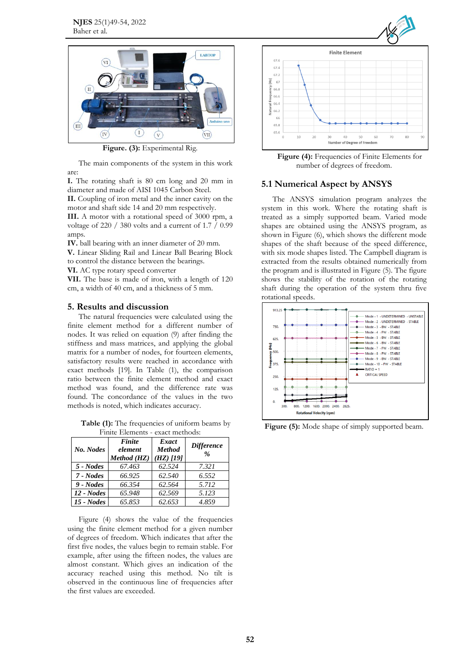

**Figure. (3):** Experimental Rig.

The main components of the system in this work are:

**I.** The rotating shaft is 80 cm long and 20 mm in diameter and made of AISI 1045 Carbon Steel.

**II.** Coupling of iron metal and the inner cavity on the motor and shaft side 14 and 20 mm respectively.

**III.** A motor with a rotational speed of 3000 rpm, a voltage of 220 / 380 volts and a current of 1.7 / 0.99 amps.

**IV.** ball bearing with an inner diameter of 20 mm.

**V.** Linear Sliding Rail and Linear Ball Bearing Block to control the distance between the bearings.

**VI.** AC type rotary speed converter

**VII.** The base is made of iron, with a length of 120 cm, a width of 40 cm, and a thickness of 5 mm.

### **5. Results and discussion**

The natural frequencies were calculated using the finite element method for a different number of nodes. It was relied on equation (9) after finding the stiffness and mass matrices, and applying the global matrix for a number of nodes, for fourteen elements, satisfactory results were reached in accordance with exact methods [19]. In Table (1), the comparison ratio between the finite element method and exact method was found, and the difference rate was found. The concordance of the values in the two methods is noted, which indicates accuracy.

**Table (1):** The frequencies of uniform beams by Finite Elements - exact methods:

| 1 1111 to 111 011 011 to<br><u>enace mentours</u> |                                  |                                       |                                    |  |  |
|---------------------------------------------------|----------------------------------|---------------------------------------|------------------------------------|--|--|
| No. Nodes                                         | Finite<br>element<br>Method (HZ) | Exact<br><b>Method</b><br>$(HZ)$ [19] | <b>Difference</b><br>$\frac{0}{0}$ |  |  |
| 5 - Nodes                                         | 67.463                           | 62.524                                | 7.321                              |  |  |
| 7 - Nodes                                         | 66.925                           | 62.540                                | 6.552                              |  |  |
| 9 - Nodes                                         | 66.354                           | 62.564                                | 5.712                              |  |  |
| $12 - Nodes$                                      | 65.948                           | 62.569                                | 5.123                              |  |  |
| $15$ - Nodes                                      | 65.853                           | 62.653                                | 4.859                              |  |  |

Figure (4) shows the value of the frequencies using the finite element method for a given number of degrees of freedom. Which indicates that after the first five nodes, the values begin to remain stable. For example, after using the fifteen nodes, the values are almost constant. Which gives an indication of the accuracy reached using this method. No tilt is observed in the continuous line of frequencies after the first values are exceeded.



**Figure (4):** Frequencies of Finite Elements for number of degrees of freedom.

### **5.1 Numerical Aspect by ANSYS**

The ANSYS simulation program analyzes the system in this work. Where the rotating shaft is treated as a simply supported beam. Varied mode shapes are obtained using the ANSYS program, as shown in Figure (6), which shows the different mode shapes of the shaft because of the speed difference, with six mode shapes listed. The Campbell diagram is extracted from the results obtained numerically from the program and is illustrated in Figure (5). The figure shows the stability of the rotation of the rotating shaft during the operation of the system thru five rotational speeds.



**Figure (5):** Mode shape of simply supported beam.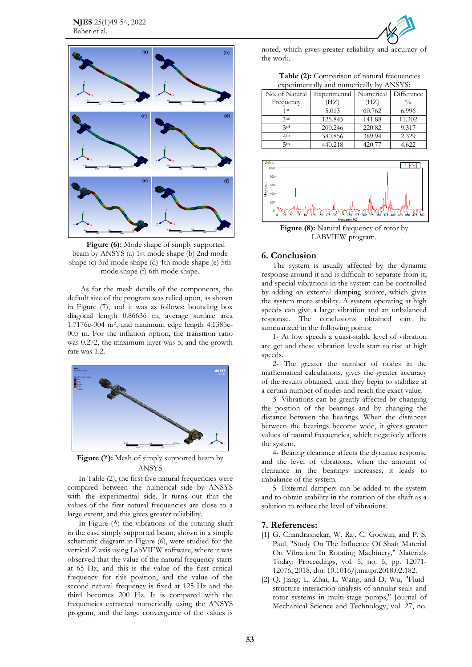

**Figure (6):** Mode shape of simply supported beam by ANSYS (a) 1st mode shape (b) 2nd mode shape (c) 3rd mode shape (d) 4th mode shape (e) 5th mode shape (f) 6th mode shape.

As for the mesh details of the components, the default size of the program was relied upon, as shown in Figure (7), and it was as follows: bounding box diagonal length 0.86636 m, average surface area 1.7176e-004 m², and minimum edge length 4.1385e-005 m. For the inflation option, the transition ratio was 0.272, the maximum layer was 5, and the growth rate was 1.2.



**Figure (7):** Mesh of simply supported beam by ANSYS

In Table (2), the first five natural frequencies were compared between the numerical side by ANSYS with the experimental side. It turns out that the values of the first natural frequencies are close to a large extent, and this gives greater reliability.

In Figure  $(A)$  the vibrations of the rotating shaft in the case simply supported beam, shown in a simple schematic diagram in Figure (6), were studied for the vertical Z axis using LabVIEW software, where it was observed that the value of the natural frequency starts at 65 Hz, and this is the value of the first critical frequency for this position, and the value of the second natural frequency is fixed at 125 Hz and the third becomes 200 Hz. It is compared with the frequencies extracted numerically using the ANSYS program, and the large convergence of the values is

noted, which gives greater reliability and accuracy of the work.

**Table (2):** Comparison of natural frequencies experimentally and numerically by ANSYS:

| $\alpha$       |              |           |               |  |  |  |
|----------------|--------------|-----------|---------------|--|--|--|
| No. of Natural | Experimental | Numerical | Difference    |  |  |  |
| Frequency      | (HZ)         | (HZ)      | $\frac{0}{0}$ |  |  |  |
| 1st            | 5.013        | 60.762    | 6.996         |  |  |  |
| 2nd            | 125.845      | 141.88    | 11.302        |  |  |  |
| 2rd            | 200.246      | 220.82    | 9.317         |  |  |  |
| ⊿th            | 380.856      | 389.94    | 2.329         |  |  |  |
| 5th            | 440.218      | 420.77    | 4.622         |  |  |  |



Figure (8): Natural frequency of rotor by LABVIEW program.

### **6. Conclusion**

The system is usually affected by the dynamic response around it and is difficult to separate from it, and special vibrations in the system can be controlled by adding an external damping source, which gives the system more stability. A system operating at high speeds can give a large vibration and an unbalanced response. The conclusions obtained can be summarized in the following points:

1- At low speeds a quasi-stable level of vibration are get and these vibration levels start to rise at high speeds.

2- The greater the number of nodes in the mathematical calculations, gives the greater accuracy of the results obtained, until they begin to stabilize at a certain number of nodes and reach the exact value.

3- Vibrations can be greatly affected by changing the position of the bearings and by changing the distance between the bearings. When the distances between the bearings become wide, it gives greater values of natural frequencies, which negatively affects the system.

4- Bearing clearance affects the dynamic response and the level of vibrations, when the amount of clearance in the bearings increases, it leads to imbalance of the system.

5- External dampers can be added to the system and to obtain stability in the rotation of the shaft as a solution to reduce the level of vibrations.

#### **7. References:**

- <span id="page-4-0"></span>[1] G. Chandrashekar, W. Raj, C. Godwin, and P. S. Paul, "Study On The Influence Of Shaft Material On Vibration In Rotating Machinery," Materials Today: Proceedings, vol. 5, no. 5, pp. 12071- 12076, 2018, doi: 10.1016/j.matpr.2018.02.182.
- <span id="page-4-1"></span>[2] Q. Jiang, L. Zhai, L. Wang, and D. Wu, "Fluidstructure interaction analysis of annular seals and rotor systems in multi-stage pumps," Journal of Mechanical Science and Technology, vol. 27, no.